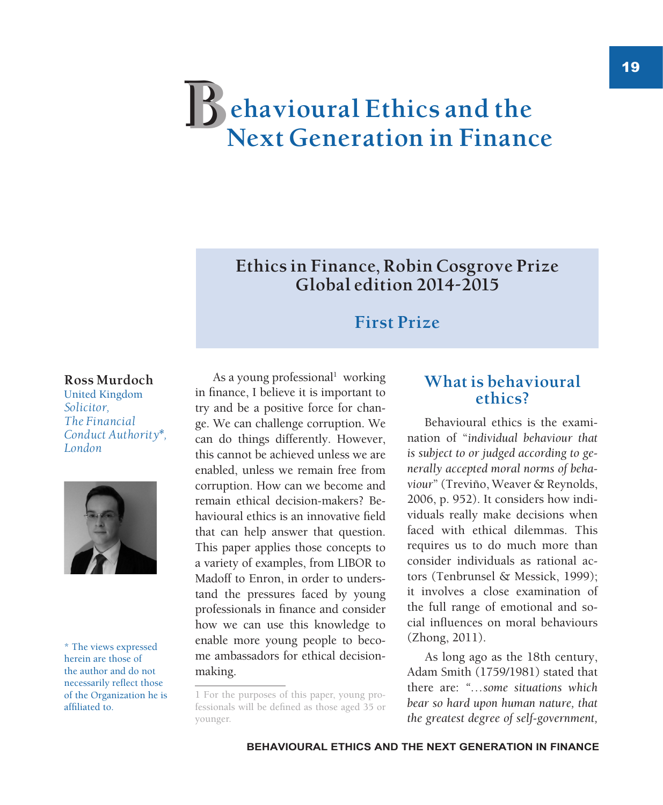# **ehavioural Ethics and the Next Generation in Finance B**

## **Ethics in Finance, Robin Cosgrove Prize Global edition 2014-2015**

## **First Prize**

#### **Ross Murdoch**

United Kingdom *Solicitor, The Financial Conduct Authority\*, London*



\* The views expressed herein are those of the author and do not necessarily reflect those of the Organization he is affiliated to.

As a young professional<sup>1</sup> working in finance, I believe it is important to try and be a positive force for change. We can challenge corruption. We can do things differently. However, this cannot be achieved unless we are enabled, unless we remain free from corruption. How can we become and remain ethical decision-makers? Behavioural ethics is an innovative field that can help answer that question. This paper applies those concepts to a variety of examples, from LIBOR to Madoff to Enron, in order to understand the pressures faced by young professionals in finance and consider how we can use this knowledge to enable more young people to become ambassadors for ethical decisionmaking.

## **What is behavioural ethics?**

Behavioural ethics is the examination of "*individual behaviour that is subject to or judged according to generally accepted moral norms of behaviour*" (Treviño, Weaver & Reynolds, 2006, p. 952). It considers how individuals really make decisions when faced with ethical dilemmas. This requires us to do much more than consider individuals as rational actors (Tenbrunsel & Messick, 1999); it involves a close examination of the full range of emotional and social influences on moral behaviours (Zhong, 2011).

As long ago as the 18th century, Adam Smith (1759/1981) stated that there are: *"…some situations which bear so hard upon human nature, that the greatest degree of self-government,* 

<sup>1</sup> For the purposes of this paper, young professionals will be defined as those aged 35 or younger.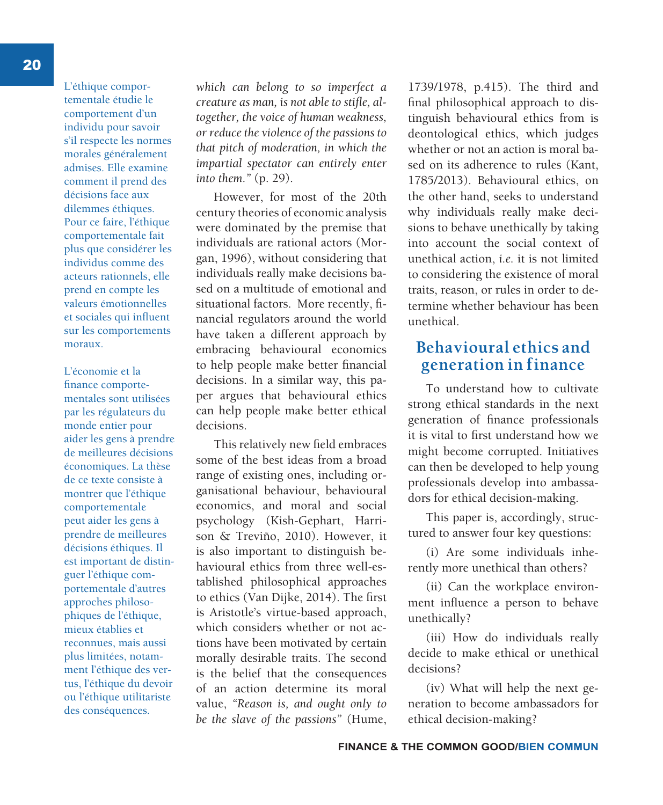L'éthique comportementale étudie le comportement d'un individu pour savoir s'il respecte les normes morales généralement admises. Elle examine comment il prend des décisions face aux dilemmes éthiques. Pour ce faire, l'éthique comportementale fait plus que considérer les individus comme des acteurs rationnels, elle prend en compte les valeurs émotionnelles et sociales qui influent sur les comportements moraux.

L'économie et la finance comportementales sont utilisées par les régulateurs du monde entier pour aider les gens à prendre de meilleures décisions économiques. La thèse de ce texte consiste à montrer que l'éthique comportementale peut aider les gens à prendre de meilleures décisions éthiques. Il est important de distinguer l'éthique comportementale d'autres approches philosophiques de l'éthique, mieux établies et reconnues, mais aussi plus limitées, notamment l'éthique des vertus, l'éthique du devoir ou l'éthique utilitariste des conséquences.

*which can belong to so imperfect a creature as man, is not able to stifle, altogether, the voice of human weakness, or reduce the violence of the passions to that pitch of moderation, in which the impartial spectator can entirely enter into them."* (p. 29).

However, for most of the 20th century theories of economic analysis were dominated by the premise that individuals are rational actors (Morgan, 1996), without considering that individuals really make decisions based on a multitude of emotional and situational factors. More recently, financial regulators around the world have taken a different approach by embracing behavioural economics to help people make better financial decisions. In a similar way, this paper argues that behavioural ethics can help people make better ethical decisions.

This relatively new field embraces some of the best ideas from a broad range of existing ones, including organisational behaviour, behavioural economics, and moral and social psychology (Kish-Gephart, Harrison & Treviño, 2010). However, it is also important to distinguish behavioural ethics from three well-established philosophical approaches to ethics (Van Dijke, 2014). The first is Aristotle's virtue-based approach, which considers whether or not actions have been motivated by certain morally desirable traits. The second is the belief that the consequences of an action determine its moral value, *"Reason is, and ought only to be the slave of the passions"* (Hume,

1739/1978, p.415). The third and final philosophical approach to distinguish behavioural ethics from is deontological ethics, which judges whether or not an action is moral based on its adherence to rules (Kant 1785/2013). Behavioural ethics, on the other hand, seeks to understand why individuals really make decisions to behave unethically by taking into account the social context of unethical action, *i.e.* it is not limited to considering the existence of moral traits, reason, or rules in order to determine whether behaviour has been unethical.

#### **Behavioural ethics and generation in finance**

To understand how to cultivate strong ethical standards in the next generation of finance professionals it is vital to first understand how we might become corrupted. Initiatives can then be developed to help young professionals develop into ambassadors for ethical decision-making.

This paper is, accordingly, structured to answer four key questions:

(i) Are some individuals inherently more unethical than others?

(ii) Can the workplace environment influence a person to behave unethically?

(iii) How do individuals really decide to make ethical or unethical decisions?

(iv) What will help the next generation to become ambassadors for ethical decision-making?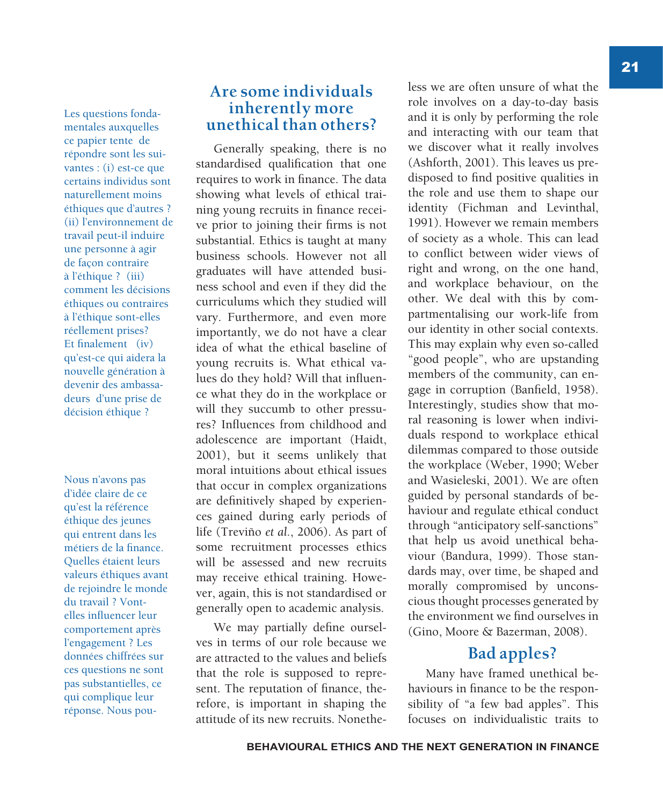Les questions fondamentales auxquelles ce papier tente de répondre sont les suivantes : (i) est-ce que certains individus sont naturellement moins éthiques que d'autres ? (ii) l'environnement de travail peut-il induire une personne à agir de façon contraire à l'éthique ? (iii) comment les décisions éthiques ou contraires à l'éthique sont-elles réellement prises? Et finalement (iv) qu'est-ce qui aidera la nouvelle génération à devenir des ambassadeurs d'une prise de décision éthique ?

Nous n'avons pas d'idée claire de ce qu'est la référence éthique des jeunes qui entrent dans les métiers de la finance. Quelles étaient leurs valeurs éthiques avant de rejoindre le monde du travail ? Vontelles influencer leur comportement après l'engagement ? Les données chiffrées sur ces questions ne sont pas substantielles, ce qui complique leur réponse. Nous pou-

#### **Are some individuals inherently more unethical than others?**

Generally speaking, there is no standardised qualification that one requires to work in finance. The data showing what levels of ethical training young recruits in finance receive prior to joining their firms is not substantial. Ethics is taught at many business schools. However not all graduates will have attended business school and even if they did the curriculums which they studied will vary. Furthermore, and even more importantly, we do not have a clear idea of what the ethical baseline of young recruits is. What ethical values do they hold? Will that influence what they do in the workplace or will they succumb to other pressures? Influences from childhood and adolescence are important (Haidt, 2001), but it seems unlikely that moral intuitions about ethical issues that occur in complex organizations are definitively shaped by experiences gained during early periods of life (Treviño *et al.*, 2006). As part of some recruitment processes ethics will be assessed and new recruits may receive ethical training. However, again, this is not standardised or generally open to academic analysis.

We may partially define ourselves in terms of our role because we are attracted to the values and beliefs that the role is supposed to represent. The reputation of finance, therefore, is important in shaping the attitude of its new recruits. Nonetheless we are often unsure of what the role involves on a day-to-day basis and it is only by performing the role and interacting with our team that we discover what it really involves (Ashforth, 2001). This leaves us predisposed to find positive qualities in the role and use them to shape our identity (Fichman and Levinthal, 1991). However we remain members of society as a whole. This can lead to conflict between wider views of right and wrong, on the one hand, and workplace behaviour, on the other. We deal with this by compartmentalising our work-life from our identity in other social contexts. This may explain why even so-called "good people", who are upstanding members of the community, can engage in corruption (Banfield, 1958). Interestingly, studies show that moral reasoning is lower when individuals respond to workplace ethical dilemmas compared to those outside the workplace (Weber, 1990; Weber and Wasieleski, 2001). We are often guided by personal standards of behaviour and regulate ethical conduct through "anticipatory self-sanctions" that help us avoid unethical behaviour (Bandura, 1999). Those standards may, over time, be shaped and morally compromised by unconscious thought processes generated by the environment we find ourselves in (Gino, Moore & Bazerman, 2008).

## **Bad apples?**

Many have framed unethical behaviours in finance to be the responsibility of "a few bad apples". This focuses on individualistic traits to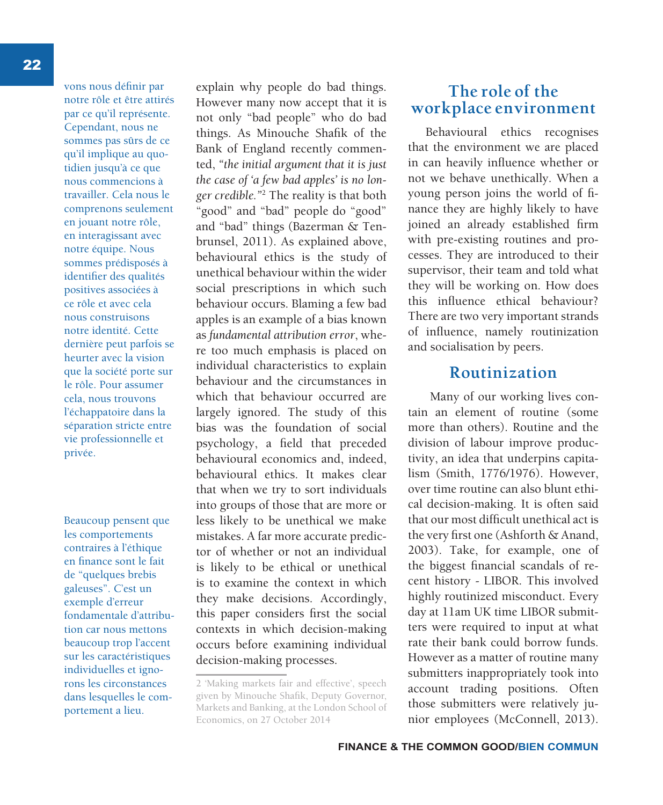vons nous définir par notre rôle et être attirés par ce qu'il représente. Cependant, nous ne sommes pas sûrs de ce qu'il implique au quotidien jusqu'à ce que nous commencions à travailler. Cela nous le comprenons seulement en jouant notre rôle, en interagissant avec notre équipe. Nous sommes prédisposés à identifier des qualités positives associées à ce rôle et avec cela nous construisons notre identité. Cette dernière peut parfois se heurter avec la vision que la société porte sur le rôle. Pour assumer cela, nous trouvons l'échappatoire dans la séparation stricte entre vie professionnelle et privée.

Beaucoup pensent que les comportements contraires à l'éthique en finance sont le fait de "quelques brebis galeuses". C'est un exemple d'erreur fondamentale d'attribution car nous mettons beaucoup trop l'accent sur les caractéristiques individuelles et ignorons les circonstances dans lesquelles le comportement a lieu.

explain why people do bad things. However many now accept that it is not only "bad people" who do bad things. As Minouche Shafik of the Bank of England recently commented, *"the initial argument that it is just the case of 'a few bad apples' is no longer credible."*<sup>2</sup> The reality is that both "good" and "bad" people do "good" and "bad" things (Bazerman & Tenbrunsel, 2011). As explained above, behavioural ethics is the study of unethical behaviour within the wider social prescriptions in which such behaviour occurs. Blaming a few bad apples is an example of a bias known as *fundamental attribution error*, where too much emphasis is placed on individual characteristics to explain behaviour and the circumstances in which that behaviour occurred are largely ignored. The study of this bias was the foundation of social psychology, a field that preceded behavioural economics and, indeed, behavioural ethics. It makes clear that when we try to sort individuals into groups of those that are more or less likely to be unethical we make mistakes. A far more accurate predictor of whether or not an individual is likely to be ethical or unethical is to examine the context in which they make decisions. Accordingly, this paper considers first the social contexts in which decision-making occurs before examining individual decision-making processes.

### **The role of the workplace environment**

Behavioural ethics recognises that the environment we are placed in can heavily influence whether or not we behave unethically. When a young person joins the world of finance they are highly likely to have joined an already established firm with pre-existing routines and processes. They are introduced to their supervisor, their team and told what they will be working on. How does this influence ethical behaviour? There are two very important strands of influence, namely routinization and socialisation by peers.

### **Routinization**

 Many of our working lives contain an element of routine (some more than others). Routine and the division of labour improve productivity, an idea that underpins capitalism (Smith, 1776/1976). However, over time routine can also blunt ethical decision-making. It is often said that our most difficult unethical act is the very first one (Ashforth & Anand, 2003). Take, for example, one of the biggest financial scandals of recent history - LIBOR. This involved highly routinized misconduct. Every day at 11am UK time LIBOR submitters were required to input at what rate their bank could borrow funds. However as a matter of routine many submitters inappropriately took into account trading positions. Often those submitters were relatively junior employees (McConnell, 2013).

<sup>2 &#</sup>x27;Making markets fair and effective', speech given by Minouche Shafik, Deputy Governor, Markets and Banking, at the London School of Economics, on 27 October 2014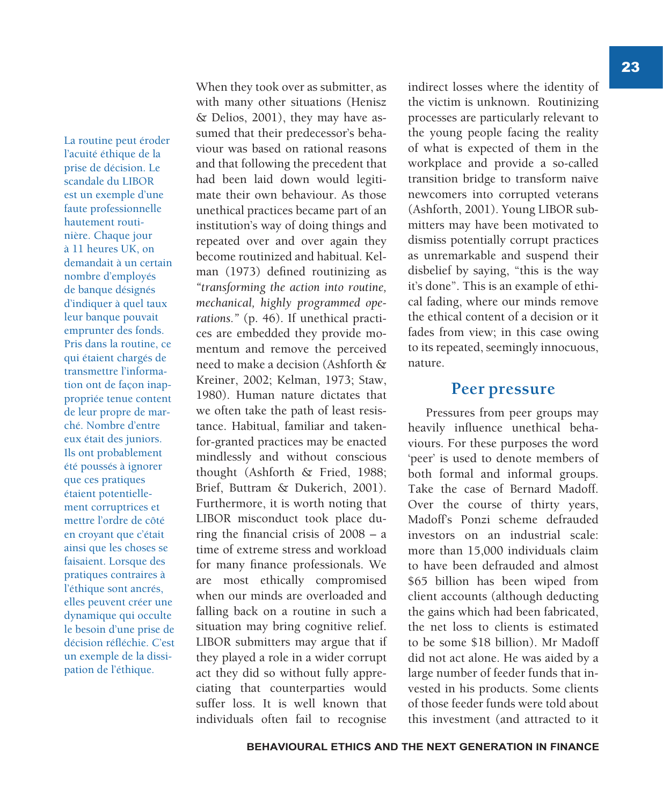La routine peut éroder l'acuité éthique de la prise de décision. Le scandale du LIBOR est un exemple d'une faute professionnelle hautement routinière. Chaque jour à 11 heures UK, on demandait à un certain nombre d'employés de banque désignés d'indiquer à quel taux leur banque pouvait emprunter des fonds. Pris dans la routine, ce qui étaient chargés de transmettre l'information ont de façon inappropriée tenue content de leur propre de marché. Nombre d'entre eux était des juniors. Ils ont probablement été poussés à ignorer que ces pratiques étaient potentiellement corruptrices et mettre l'ordre de côté en croyant que c'était ainsi que les choses se faisaient. Lorsque des pratiques contraires à l'éthique sont ancrés, elles peuvent créer une dynamique qui occulte le besoin d'une prise de décision réfléchie. C'est un exemple de la dissipation de l'éthique.

When they took over as submitter, as with many other situations (Henisz & Delios, 2001), they may have assumed that their predecessor's behaviour was based on rational reasons and that following the precedent that had been laid down would legitimate their own behaviour. As those unethical practices became part of an institution's way of doing things and repeated over and over again they become routinized and habitual. Kelman (1973) defined routinizing as *"transforming the action into routine, mechanical, highly programmed operations."* (p. 46). If unethical practices are embedded they provide momentum and remove the perceived need to make a decision (Ashforth & Kreiner, 2002; Kelman, 1973; Staw, 1980). Human nature dictates that we often take the path of least resistance. Habitual, familiar and takenfor-granted practices may be enacted mindlessly and without conscious thought (Ashforth & Fried, 1988; Brief, Buttram & Dukerich, 2001). Furthermore, it is worth noting that LIBOR misconduct took place during the financial crisis of 2008 – a time of extreme stress and workload for many finance professionals. We are most ethically compromised when our minds are overloaded and falling back on a routine in such a situation may bring cognitive relief. LIBOR submitters may argue that if they played a role in a wider corrupt act they did so without fully appreciating that counterparties would suffer loss. It is well known that individuals often fail to recognise

indirect losses where the identity of the victim is unknown. Routinizing processes are particularly relevant to the young people facing the reality of what is expected of them in the workplace and provide a so-called transition bridge to transform naïve newcomers into corrupted veterans (Ashforth, 2001). Young LIBOR submitters may have been motivated to dismiss potentially corrupt practices as unremarkable and suspend their disbelief by saying, "this is the way it's done". This is an example of ethical fading, where our minds remove the ethical content of a decision or it fades from view; in this case owing to its repeated, seemingly innocuous, nature.

#### **Peer pressure**

Pressures from peer groups may heavily influence unethical behaviours. For these purposes the word 'peer' is used to denote members of both formal and informal groups. Take the case of Bernard Madoff. Over the course of thirty years, Madoff's Ponzi scheme defrauded investors on an industrial scale: more than 15,000 individuals claim to have been defrauded and almost \$65 billion has been wiped from client accounts (although deducting the gains which had been fabricated, the net loss to clients is estimated to be some \$18 billion). Mr Madoff did not act alone. He was aided by a large number of feeder funds that invested in his products. Some clients of those feeder funds were told about this investment (and attracted to it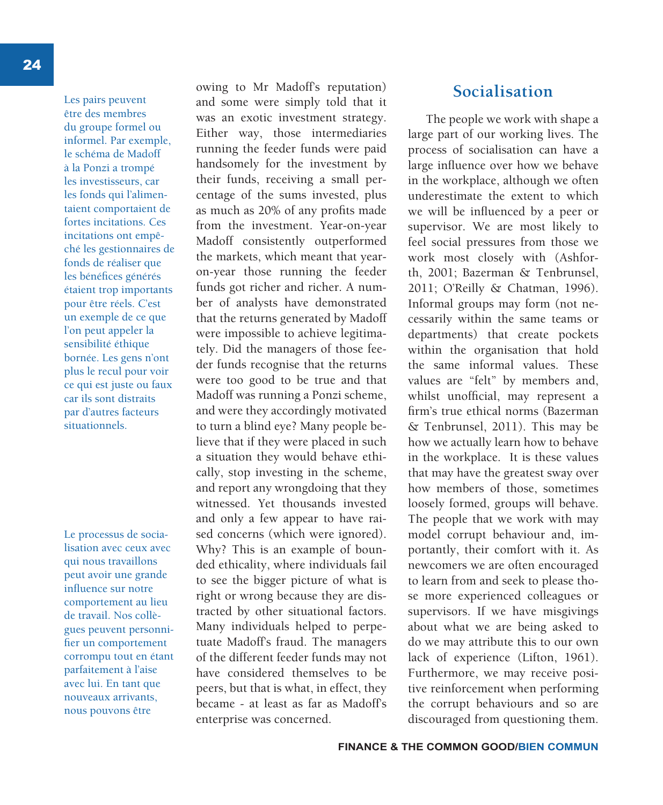Les pairs peuvent être des membres du groupe formel ou informel. Par exemple, le schéma de Madoff à la Ponzi a trompé les investisseurs, car les fonds qui l'alimentaient comportaient de fortes incitations. Ces incitations ont empêché les gestionnaires de fonds de réaliser que les bénéfices générés étaient trop importants pour être réels. C'est un exemple de ce que l'on peut appeler la sensibilité éthique bornée. Les gens n'ont plus le recul pour voir ce qui est juste ou faux car ils sont distraits par d'autres facteurs situationnels.

Le processus de socialisation avec ceux avec qui nous travaillons peut avoir une grande influence sur notre comportement au lieu de travail. Nos collègues peuvent personnifier un comportement corrompu tout en étant parfaitement à l'aise avec lui. En tant que nouveaux arrivants, nous pouvons être

owing to Mr Madoff's reputation) and some were simply told that it was an exotic investment strategy. Either way, those intermediaries running the feeder funds were paid handsomely for the investment by their funds, receiving a small percentage of the sums invested, plus as much as 20% of any profits made from the investment. Year-on-year Madoff consistently outperformed the markets, which meant that yearon-year those running the feeder funds got richer and richer. A number of analysts have demonstrated that the returns generated by Madoff were impossible to achieve legitimately. Did the managers of those feeder funds recognise that the returns were too good to be true and that Madoff was running a Ponzi scheme, and were they accordingly motivated to turn a blind eye? Many people believe that if they were placed in such a situation they would behave ethically, stop investing in the scheme, and report any wrongdoing that they witnessed. Yet thousands invested and only a few appear to have raised concerns (which were ignored). Why? This is an example of bounded ethicality, where individuals fail to see the bigger picture of what is right or wrong because they are distracted by other situational factors. Many individuals helped to perpetuate Madoff's fraud. The managers of the different feeder funds may not have considered themselves to be peers, but that is what, in effect, they became - at least as far as Madoff's enterprise was concerned.

### **Socialisation**

The people we work with shape a large part of our working lives. The process of socialisation can have a large influence over how we behave in the workplace, although we often underestimate the extent to which we will be influenced by a peer or supervisor. We are most likely to feel social pressures from those we work most closely with (Ashforth, 2001; Bazerman & Tenbrunsel, 2011; O'Reilly & Chatman, 1996). Informal groups may form (not necessarily within the same teams or departments) that create pockets within the organisation that hold the same informal values. These values are "felt" by members and, whilst unofficial, may represent a firm's true ethical norms (Bazerman & Tenbrunsel, 2011). This may be how we actually learn how to behave in the workplace. It is these values that may have the greatest sway over how members of those, sometimes loosely formed, groups will behave. The people that we work with may model corrupt behaviour and, importantly, their comfort with it. As newcomers we are often encouraged to learn from and seek to please those more experienced colleagues or supervisors. If we have misgivings about what we are being asked to do we may attribute this to our own lack of experience (Lifton, 1961). Furthermore, we may receive positive reinforcement when performing the corrupt behaviours and so are discouraged from questioning them.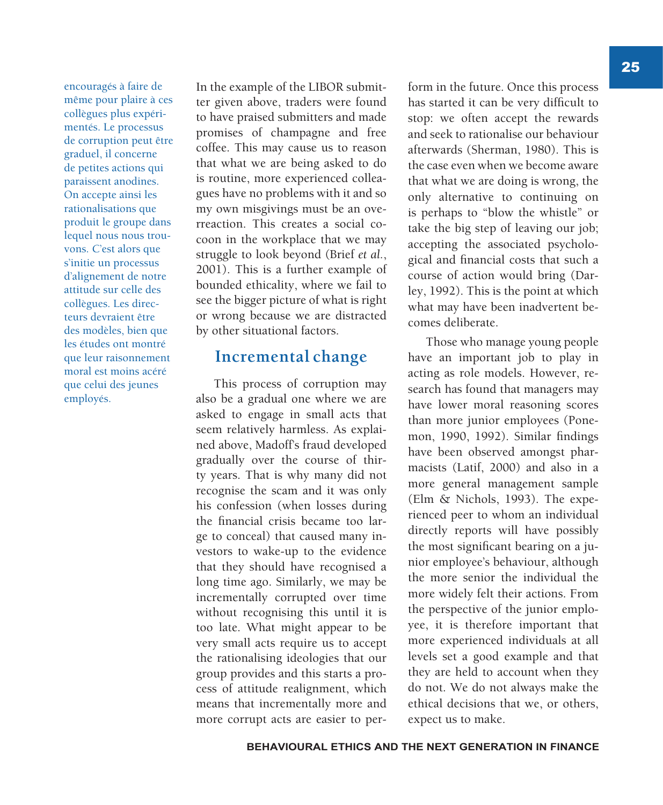encouragés à faire de même pour plaire à ces collègues plus expérimentés. Le processus de corruption peut être graduel, il concerne de petites actions qui paraissent anodines. On accepte ainsi les rationalisations que produit le groupe dans lequel nous nous trouvons. C'est alors que s'initie un processus d'alignement de notre attitude sur celle des collègues. Les directeurs devraient être des modèles, bien que les études ont montré que leur raisonnement moral est moins acéré que celui des jeunes employés.

In the example of the LIBOR submitter given above, traders were found to have praised submitters and made promises of champagne and free coffee. This may cause us to reason that what we are being asked to do is routine, more experienced colleagues have no problems with it and so my own misgivings must be an overreaction. This creates a social cocoon in the workplace that we may struggle to look beyond (Brief *et al.*, 2001). This is a further example of bounded ethicality, where we fail to see the bigger picture of what is right or wrong because we are distracted by other situational factors.

## **Incremental change**

This process of corruption may also be a gradual one where we are asked to engage in small acts that seem relatively harmless. As explained above, Madoff's fraud developed gradually over the course of thirty years. That is why many did not recognise the scam and it was only his confession (when losses during the financial crisis became too large to conceal) that caused many investors to wake-up to the evidence that they should have recognised a long time ago. Similarly, we may be incrementally corrupted over time without recognising this until it is too late. What might appear to be very small acts require us to accept the rationalising ideologies that our group provides and this starts a process of attitude realignment, which means that incrementally more and more corrupt acts are easier to perform in the future. Once this process has started it can be very difficult to stop: we often accept the rewards and seek to rationalise our behaviour afterwards (Sherman, 1980). This is the case even when we become aware that what we are doing is wrong, the only alternative to continuing on is perhaps to "blow the whistle" or take the big step of leaving our job; accepting the associated psychological and financial costs that such a course of action would bring (Darley, 1992). This is the point at which what may have been inadvertent becomes deliberate.

Those who manage young people have an important job to play in acting as role models. However, research has found that managers may have lower moral reasoning scores than more junior employees (Ponemon, 1990, 1992). Similar findings have been observed amongst pharmacists (Latif, 2000) and also in a more general management sample (Elm & Nichols, 1993). The experienced peer to whom an individual directly reports will have possibly the most significant bearing on a junior employee's behaviour, although the more senior the individual the more widely felt their actions. From the perspective of the junior employee, it is therefore important that more experienced individuals at all levels set a good example and that they are held to account when they do not. We do not always make the ethical decisions that we, or others, expect us to make.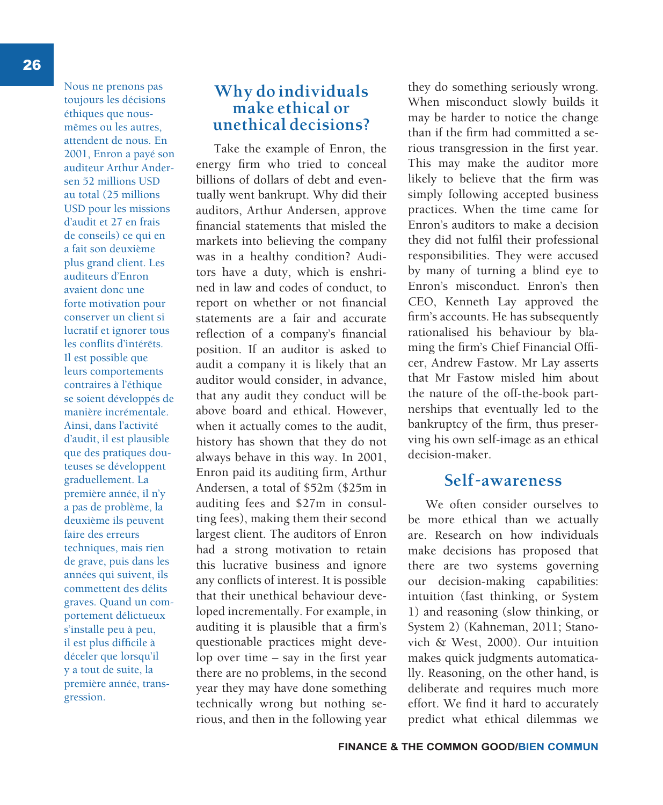26

Nous ne prenons pas toujours les décisions éthiques que nousmêmes ou les autres, attendent de nous. En 2001, Enron a payé son auditeur Arthur Andersen 52 millions USD au total (25 millions USD pour les missions d'audit et 27 en frais de conseils) ce qui en a fait son deuxième plus grand client. Les auditeurs d'Enron avaient donc une forte motivation pour conserver un client si lucratif et ignorer tous les conflits d'intérêts. Il est possible que leurs comportements contraires à l'éthique se soient développés de manière incrémentale. Ainsi, dans l'activité d'audit, il est plausible que des pratiques douteuses se développent graduellement. La première année, il n'y a pas de problème, la deuxième ils peuvent faire des erreurs techniques, mais rien de grave, puis dans les années qui suivent, ils commettent des délits graves. Quand un comportement délictueux s'installe peu à peu, il est plus difficile à déceler que lorsqu'il y a tout de suite, la première année, transgression.

## **Why do individuals make ethical or unethical decisions?**

Take the example of Enron, the energy firm who tried to conceal billions of dollars of debt and eventually went bankrupt. Why did their auditors, Arthur Andersen, approve financial statements that misled the markets into believing the company was in a healthy condition? Auditors have a duty, which is enshrined in law and codes of conduct, to report on whether or not financial statements are a fair and accurate reflection of a company's financial position. If an auditor is asked to audit a company it is likely that an auditor would consider, in advance, that any audit they conduct will be above board and ethical. However, when it actually comes to the audit, history has shown that they do not always behave in this way. In 2001, Enron paid its auditing firm, Arthur Andersen, a total of \$52m (\$25m in auditing fees and \$27m in consulting fees), making them their second largest client. The auditors of Enron had a strong motivation to retain this lucrative business and ignore any conflicts of interest. It is possible that their unethical behaviour developed incrementally. For example, in auditing it is plausible that a firm's questionable practices might develop over time – say in the first year there are no problems, in the second year they may have done something technically wrong but nothing serious, and then in the following year

they do something seriously wrong. When misconduct slowly builds it may be harder to notice the change than if the firm had committed a serious transgression in the first year. This may make the auditor more likely to believe that the firm was simply following accepted business practices. When the time came for Enron's auditors to make a decision they did not fulfil their professional responsibilities. They were accused by many of turning a blind eye to Enron's misconduct. Enron's then CEO, Kenneth Lay approved the firm's accounts. He has subsequently rationalised his behaviour by blaming the firm's Chief Financial Officer, Andrew Fastow. Mr Lay asserts that Mr Fastow misled him about the nature of the off-the-book partnerships that eventually led to the bankruptcy of the firm, thus preserving his own self-image as an ethical decision-maker.

#### **Self-awareness**

We often consider ourselves to be more ethical than we actually are. Research on how individuals make decisions has proposed that there are two systems governing our decision-making capabilities: intuition (fast thinking, or System 1) and reasoning (slow thinking, or System 2) (Kahneman, 2011; Stanovich & West, 2000). Our intuition makes quick judgments automatically. Reasoning, on the other hand, is deliberate and requires much more effort. We find it hard to accurately predict what ethical dilemmas we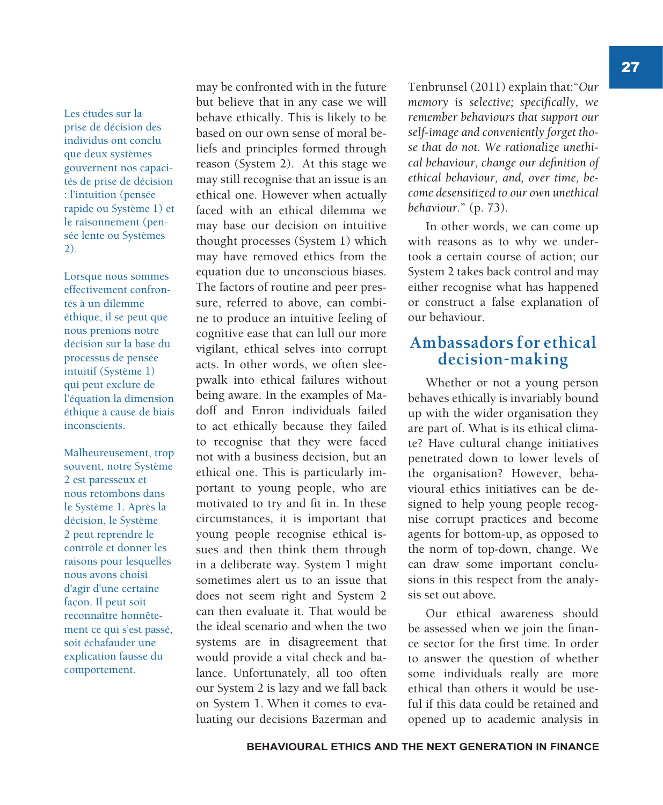Les études sur la prise de décision des individus ont conclu que deux systèmes gouvernent nos capacités de prise de décision : l'intuition (pensée rapide ou Système 1) et le raisonnement (pensée lente ou Systèmes 2).

Lorsque nous sommes effectivement confrontés à un dilemme éthique, il se peut que nous prenions notre décision sur la base du processus de pensée intuitif (Système 1) qui peut exclure de l'équation la dimension éthique à cause de biais inconscients.

Malheureusement, trop souvent, notre Système 2 est paresseux et nous retombons dans le Système 1. Après la décision, le Système 2 peut reprendre le contrôle et donner les raisons pour lesquelles nous avons choisi d'agir d'une certaine façon. Il peut soit reconnaître honnêtement ce qui s'est passé, soit échafauder une explication fausse du comportement.

may be confronted with in the future but believe that in any case we will behave ethically. This is likely to be based on our own sense of moral beliefs and principles formed through reason (System 2). At this stage we may still recognise that an issue is an ethical one. However when actually faced with an ethical dilemma we may base our decision on intuitive thought processes (System 1) which may have removed ethics from the equation due to unconscious biases. The factors of routine and peer pressure, referred to above, can combine to produce an intuitive feeling of cognitive ease that can lull our more vigilant, ethical selves into corrupt acts. In other words, we often sleepwalk into ethical failures without being aware. In the examples of Madoff and Enron individuals failed to act ethically because they failed to recognise that they were faced not with a business decision, but an ethical one. This is particularly important to young people, who are motivated to try and fit in. In these circumstances, it is important that young people recognise ethical issues and then think them through in a deliberate way. System 1 might sometimes alert us to an issue that does not seem right and System 2 can then evaluate it. That would be the ideal scenario and when the two systems are in disagreement that would provide a vital check and balance. Unfortunately, all too often our System 2 is lazy and we fall back on System 1. When it comes to evaluating our decisions Bazerman and

Tenbrunsel (2011) explain that:"*Our memory is selective; specifically, we remember behaviours that support our self-image and conveniently forget those that do not. We rationalize unethical behaviour, change our definition of ethical behaviour, and, over time, become desensitized to our own unethical behaviour.*" (p. 73).

In other words, we can come up with reasons as to why we undertook a certain course of action; our System 2 takes back control and may either recognise what has happened or construct a false explanation of our behaviour.

#### **Ambassadors for ethical decision-making**

Whether or not a young person behaves ethically is invariably bound up with the wider organisation they are part of. What is its ethical climate? Have cultural change initiatives penetrated down to lower levels of the organisation? However, behavioural ethics initiatives can be designed to help young people recognise corrupt practices and become agents for bottom-up, as opposed to the norm of top-down, change. We can draw some important conclusions in this respect from the analysis set out above.

Our ethical awareness should be assessed when we join the finance sector for the first time. In order to answer the question of whether some individuals really are more ethical than others it would be useful if this data could be retained and opened up to academic analysis in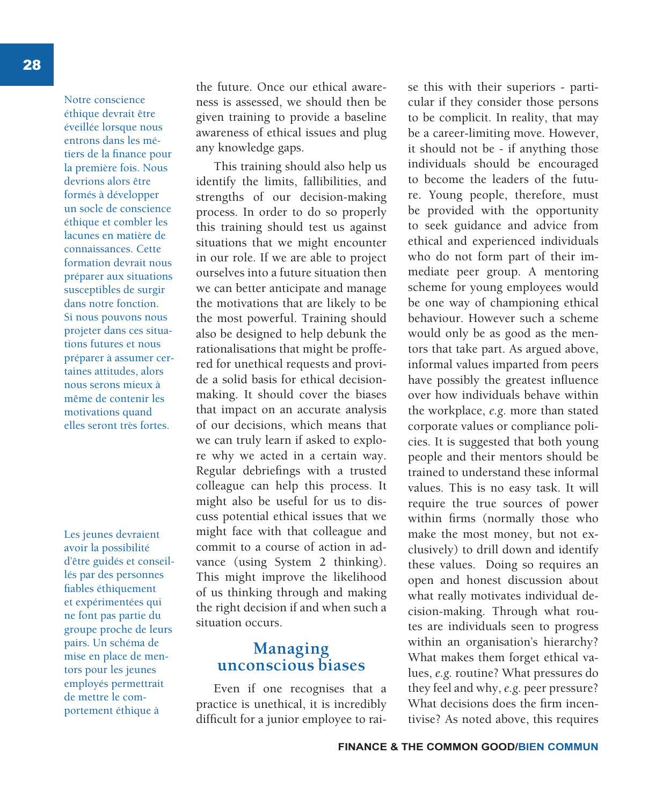Notre conscience éthique devrait être éveillée lorsque nous entrons dans les métiers de la finance pour la première fois. Nous devrions alors être formés à développer un socle de conscience éthique et combler les lacunes en matière de connaissances. Cette formation devrait nous préparer aux situations susceptibles de surgir dans notre fonction. Si nous pouvons nous projeter dans ces situations futures et nous préparer à assumer certaines attitudes, alors nous serons mieux à même de contenir les motivations quand elles seront très fortes.

Les jeunes devraient avoir la possibilité d'être guidés et conseillés par des personnes fiables éthiquement et expérimentées qui ne font pas partie du groupe proche de leurs pairs. Un schéma de mise en place de mentors pour les jeunes employés permettrait de mettre le comportement éthique à

the future. Once our ethical awareness is assessed, we should then be given training to provide a baseline awareness of ethical issues and plug any knowledge gaps.

This training should also help us identify the limits, fallibilities, and strengths of our decision-making process. In order to do so properly this training should test us against situations that we might encounter in our role. If we are able to project ourselves into a future situation then we can better anticipate and manage the motivations that are likely to be the most powerful. Training should also be designed to help debunk the rationalisations that might be proffered for unethical requests and provide a solid basis for ethical decisionmaking. It should cover the biases that impact on an accurate analysis of our decisions, which means that we can truly learn if asked to explore why we acted in a certain way. Regular debriefings with a trusted colleague can help this process. It might also be useful for us to discuss potential ethical issues that we might face with that colleague and commit to a course of action in advance (using System 2 thinking). This might improve the likelihood of us thinking through and making the right decision if and when such a situation occurs.

#### **Managing unconscious biases**

Even if one recognises that a practice is unethical, it is incredibly difficult for a junior employee to raise this with their superiors - particular if they consider those persons to be complicit. In reality, that may be a career-limiting move. However, it should not be - if anything those individuals should be encouraged to become the leaders of the future. Young people, therefore, must be provided with the opportunity to seek guidance and advice from ethical and experienced individuals who do not form part of their immediate peer group. A mentoring scheme for young employees would be one way of championing ethical behaviour. However such a scheme would only be as good as the mentors that take part. As argued above, informal values imparted from peers have possibly the greatest influence over how individuals behave within the workplace, *e.g.* more than stated corporate values or compliance policies. It is suggested that both young people and their mentors should be trained to understand these informal values. This is no easy task. It will require the true sources of power within firms (normally those who make the most money, but not exclusively) to drill down and identify these values. Doing so requires an open and honest discussion about what really motivates individual decision-making. Through what routes are individuals seen to progress within an organisation's hierarchy? What makes them forget ethical values, *e.g.* routine? What pressures do they feel and why, *e.g.* peer pressure? What decisions does the firm incentivise? As noted above, this requires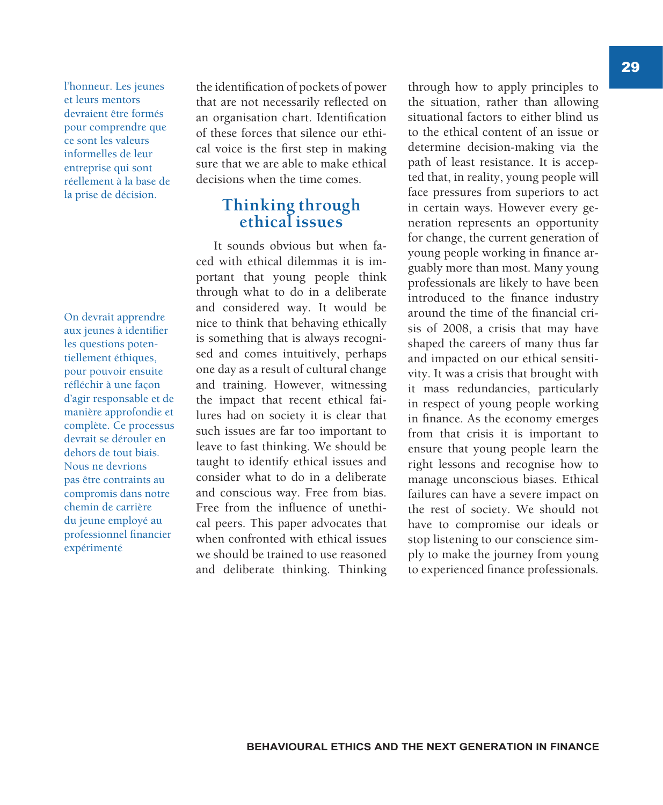l'honneur. Les jeunes et leurs mentors devraient être formés pour comprendre que ce sont les valeurs informelles de leur entreprise qui sont réellement à la base de la prise de décision.

On devrait apprendre aux jeunes à identifier les questions potentiellement éthiques, pour pouvoir ensuite réfléchir à une façon d'agir responsable et de manière approfondie et complète. Ce processus devrait se dérouler en dehors de tout biais. Nous ne devrions pas être contraints au compromis dans notre chemin de carrière du jeune employé au professionnel financier expérimenté

the identification of pockets of power that are not necessarily reflected on an organisation chart. Identification of these forces that silence our ethical voice is the first step in making sure that we are able to make ethical decisions when the time comes.

#### **Thinking through ethical issues**

It sounds obvious but when faced with ethical dilemmas it is important that young people think through what to do in a deliberate and considered way. It would be nice to think that behaving ethically is something that is always recognised and comes intuitively, perhaps one day as a result of cultural change and training. However, witnessing the impact that recent ethical failures had on society it is clear that such issues are far too important to leave to fast thinking. We should be taught to identify ethical issues and consider what to do in a deliberate and conscious way. Free from bias. Free from the influence of unethical peers. This paper advocates that when confronted with ethical issues we should be trained to use reasoned and deliberate thinking. Thinking

through how to apply principles to the situation, rather than allowing situational factors to either blind us to the ethical content of an issue or determine decision-making via the path of least resistance. It is accepted that, in reality, young people will face pressures from superiors to act in certain ways. However every generation represents an opportunity for change, the current generation of young people working in finance arguably more than most. Many young professionals are likely to have been introduced to the finance industry around the time of the financial crisis of 2008, a crisis that may have shaped the careers of many thus far and impacted on our ethical sensitivity. It was a crisis that brought with it mass redundancies, particularly in respect of young people working in finance. As the economy emerges from that crisis it is important to ensure that young people learn the right lessons and recognise how to manage unconscious biases. Ethical failures can have a severe impact on the rest of society. We should not have to compromise our ideals or stop listening to our conscience simply to make the journey from young to experienced finance professionals.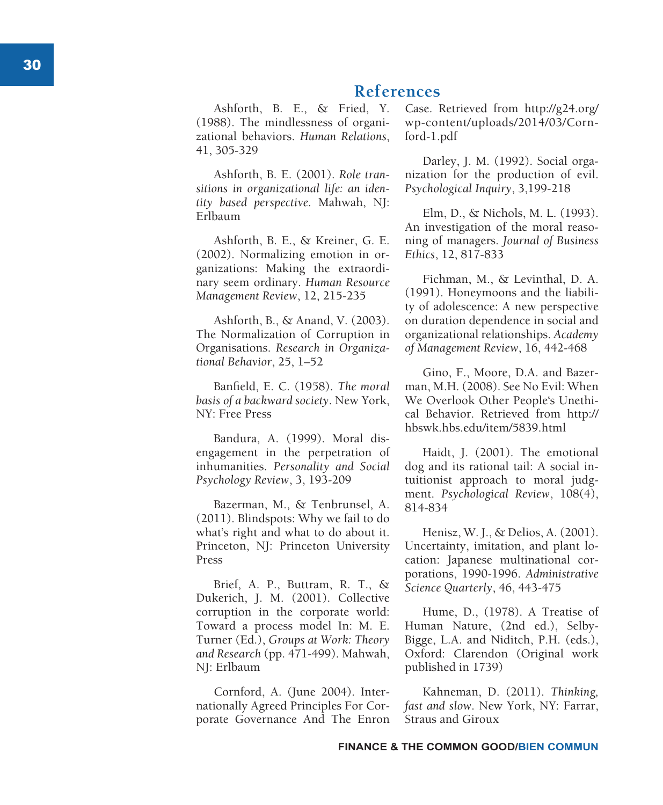## **References**

Ashforth, B. E., & Fried, Y. (1988). The mindlessness of organi zational behaviors. *Human Relations*, 41, 305-329

Ashforth, B. E. (2001). *Role tran sitions in organizational life: an iden tity based perspective*. Mahwah, NJ: Erlbaum

Ashforth, B. E., & Kreiner, G. E. (2002). Normalizing emotion in or ganizations: Making the extraordi nary seem ordinary. *Human Resource Management Review*, 12, 215-235

Ashforth, B., & Anand, V. (2003). The Normalization of Corruption in Organisations. *Research in Organiza tional Behavior*, 25, 1–52

Banfield, E. C. (1958). *The moral basis of a backward society*. New York, NY: Free Press

Bandura, A. (1999). Moral dis engagement in the perpetration of inhumanities. *Personality and Social Psychology Review*, 3, 193-209

Bazerman, M., & Tenbrunsel, A. (2011). Blindspots: Why we fail to do what's right and what to do about it. Princeton, NJ: Princeton University Press

Brief, A. P., Buttram, R. T., & Dukerich, J. M. (2001). Collective corruption in the corporate world: Toward a process model In: M. E. Turner (Ed.), *Groups at Work: Theory and Research* (pp. 471-499). Mahwah, NJ: Erlbaum

Cornford, A. (June 2004). Inter nationally Agreed Principles For Cor porate Governance And The Enron Case. Retrieved from http://g24.org/ wp-content/uploads/2014/03/Corn ford-1.pdf

Darley, J. M. (1992). Social orga nization for the production of evil. *Psychological Inquiry*, 3,199-218

Elm, D., & Nichols, M. L. (1993). An investigation of the moral reaso ning of managers. *Journal of Business Ethics*, 12, 817-833

Fichman, M., & Levinthal, D. A. (1991). Honeymoons and the liabili ty of adolescence: A new perspective on duration dependence in social and organizational relationships. *Academy of Management Review*, 16, 442-468

Gino, F., Moore, D.A. and Bazer man, M.H. (2008). See No Evil: When We Overlook Other People's Unethi cal Behavior. Retrieved from http:// hbswk.hbs.edu/item/5839.html

Haidt, J. (2001). The emotional dog and its rational tail: A social in tuitionist approach to moral judg ment. *Psychological Review*, 108(4), 814-834

Henisz, W. J., & Delios, A. (2001). Uncertainty, imitation, and plant lo cation: Japanese multinational cor porations, 1990-1996. *Administrative Science Quarterly*, 46, 443-475

Hume, D., (1978). A Treatise of Human Nature, (2nd ed.), Selby-Bigge, L.A. and Niditch, P.H. (eds.), Oxford: Clarendon (Original work published in 1739)

Kahneman, D. (2011). *Thinking, fast and slow*. New York, NY: Farrar, Straus and Giroux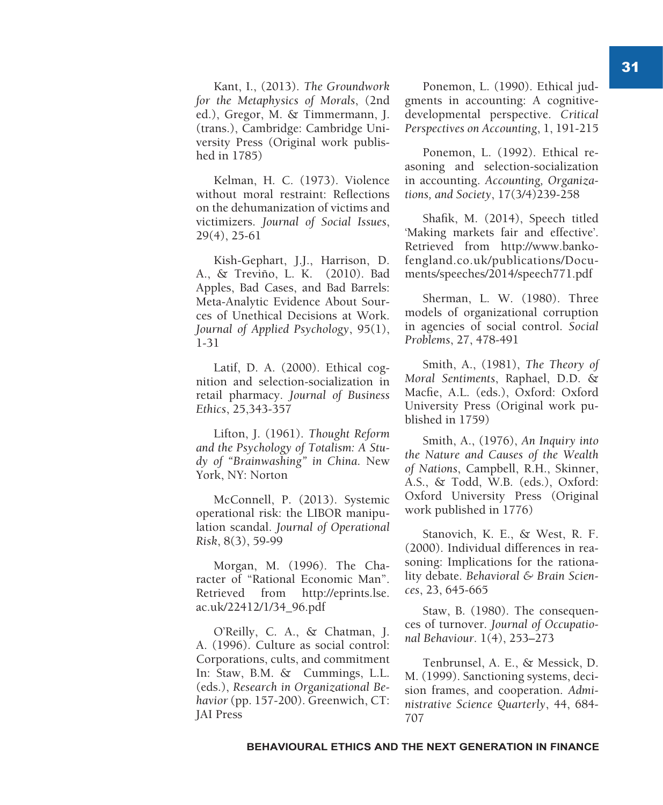Kant, I., (2013). *The Groundwork for the Metaphysics of Morals*, (2nd ed.), Gregor, M. & Timmermann, J. (trans.), Cambridge: Cambridge University Press (Original work published in 1785)

Kelman, H. C. (1973). Violence without moral restraint: Reflections on the dehumanization of victims and victimizers. *Journal of Social Issues*, 29(4), 25-61

Kish-Gephart, J.J., Harrison, D. A., & Treviño, L. K. (2010). Bad Apples, Bad Cases, and Bad Barrels: Meta-Analytic Evidence About Sources of Unethical Decisions at Work. *Journal of Applied Psychology*, 95(1), 1-31

Latif, D. A. (2000). Ethical cognition and selection-socialization in retail pharmacy. *Journal of Business Ethics*, 25,343-357

Lifton, J. (1961). *Thought Reform and the Psychology of Totalism: A Study of "Brainwashing" in China*. New York, NY: Norton

McConnell, P. (2013). Systemic operational risk: the LIBOR manipulation scandal. *Journal of Operational Risk*, 8(3), 59-99

Morgan, M. (1996). The Character of "Rational Economic Man". Retrieved from http://eprints.lse. ac.uk/22412/1/34\_96.pdf

O'Reilly, C. A., & Chatman, J. A. (1996). Culture as social control: Corporations, cults, and commitment In: Staw, B.M. & Cummings, L.L. (eds.), *Research in Organizational Behavior* (pp. 157-200). Greenwich, CT: JAI Press

Ponemon, L. (1990). Ethical judgments in accounting: A cognitivedevelopmental perspective. *Critical Perspectives on Accounting*, 1, 191-215

Ponemon, L. (1992). Ethical reasoning and selection-socialization in accounting. *Accounting, Organizations, and Society*, 17(3/4)239-258

Shafik, M. (2014), Speech titled 'Making markets fair and effective'. Retrieved from http://www.bankofengland.co.uk/publications/Documents/speeches/2014/speech771.pdf

Sherman, L. W. (1980). Three models of organizational corruption in agencies of social control. *Social Problems*, 27, 478-491

Smith, A., (1981), *The Theory of Moral Sentiments*, Raphael, D.D. & Macfie, A.L. (eds.), Oxford: Oxford University Press (Original work published in 1759)

Smith, A., (1976), *An Inquiry into the Nature and Causes of the Wealth of Nations*, Campbell, R.H., Skinner, A.S., & Todd, W.B. (eds.), Oxford: Oxford University Press (Original work published in 1776)

Stanovich, K. E., & West, R. F. (2000). Individual differences in reasoning: Implications for the rationality debate. *Behavioral & Brain Sciences*, 23, 645-665

Staw, B. (1980). The consequences of turnover. *Journal of Occupational Behaviour*. 1(4), 253–273

Tenbrunsel, A. E., & Messick, D. M. (1999). Sanctioning systems, decision frames, and cooperation. *Administrative Science Quarterly*, 44, 684- 707